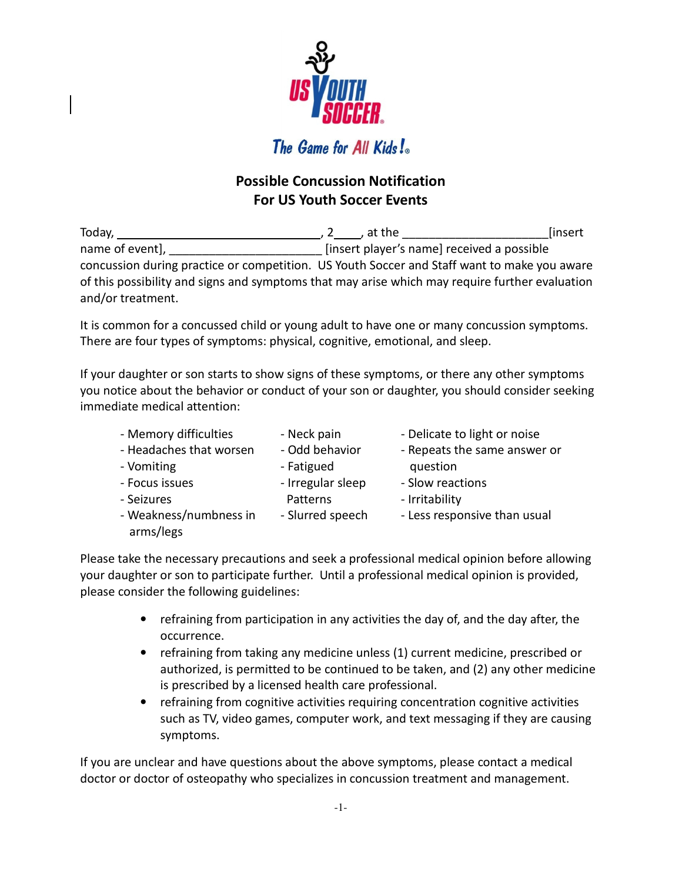

## **Possible Concussion Notification For US Youth Soccer Events**

Today, , 2 , at the \_\_\_\_\_\_\_\_\_\_\_\_\_\_\_\_\_\_\_\_\_\_[insert name of event], the same of event is not contained a possible insert player's name] received a possible concussion during practice or competition. US Youth Soccer and Staff want to make you aware of this possibility and signs and symptoms that may arise which may require further evaluation and/or treatment.

It is common for a concussed child or young adult to have one or many concussion symptoms. There are four types of symptoms: physical, cognitive, emotional, and sleep.

If your daughter or son starts to show signs of these symptoms, or there any other symptoms you notice about the behavior or conduct of your son or daughter, you should consider seeking immediate medical attention:

- Memory difficulties Neck pain Delicate to light or noise
	-

arms/legs

- 
- 
- Headaches that worsen Odd behavior Repeats the same answer or - Vomiting The State of Fatigued The State of Taurus and Taurus and Taurus and Taurus and Taurus and Taurus and Taurus and Taurus and Taurus and Taurus and Taurus and Taurus and Taurus and Taurus and Taurus and Taurus and
- Focus issues **Follow Exercise 1** Irregular sleep Slow reactions - Seizures **Patterns** - Irritability
	-
	-
- Weakness/numbness in Slurred speech Less responsive than usual

Please take the necessary precautions and seek a professional medical opinion before allowing your daughter or son to participate further. Until a professional medical opinion is provided, please consider the following guidelines:

- refraining from participation in any activities the day of, and the day after, the occurrence.
- refraining from taking any medicine unless (1) current medicine, prescribed or authorized, is permitted to be continued to be taken, and (2) any other medicine is prescribed by a licensed health care professional.
- refraining from cognitive activities requiring concentration cognitive activities such as TV, video games, computer work, and text messaging if they are causing symptoms.

If you are unclear and have questions about the above symptoms, please contact a medical doctor or doctor of osteopathy who specializes in concussion treatment and management.